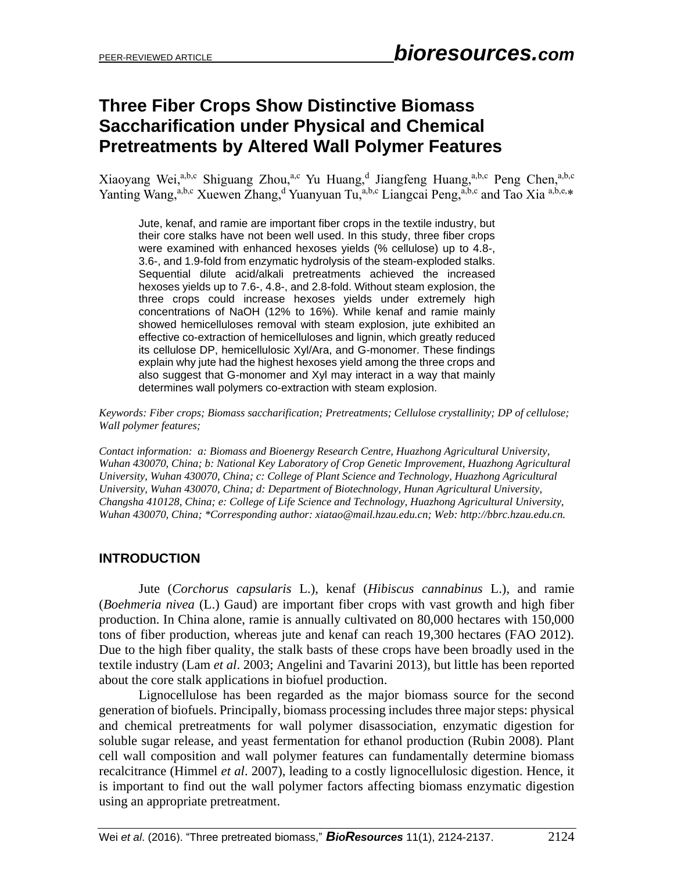# **Three Fiber Crops Show Distinctive Biomass Saccharification under Physical and Chemical Pretreatments by Altered Wall Polymer Features**

Xiaoyang Wei,<sup>a,b,c</sup> Shiguang Zhou,<sup>a,c</sup> Yu Huang,<sup>d</sup> Jiangfeng Huang,<sup>a,b,c</sup> Peng Chen,<sup>a,b,c</sup> Yanting Wang,<sup>a,b,c</sup> Xuewen Zhang,<sup>d</sup> Yuanyuan Tu,<sup>a,b,c</sup> Liangcai Peng,<sup>a,b,c</sup> and Tao Xia <sup>a,b,e,\*</sup>

Jute, kenaf, and ramie are important fiber crops in the textile industry, but their core stalks have not been well used. In this study, three fiber crops were examined with enhanced hexoses yields (% cellulose) up to 4.8-, 3.6-, and 1.9-fold from enzymatic hydrolysis of the steam-exploded stalks. Sequential dilute acid/alkali pretreatments achieved the increased hexoses yields up to 7.6-, 4.8-, and 2.8-fold. Without steam explosion, the three crops could increase hexoses yields under extremely high concentrations of NaOH (12% to 16%). While kenaf and ramie mainly showed hemicelluloses removal with steam explosion, jute exhibited an effective co-extraction of hemicelluloses and lignin, which greatly reduced its cellulose DP, hemicellulosic Xyl/Ara, and G-monomer. These findings explain why jute had the highest hexoses yield among the three crops and also suggest that G-monomer and Xyl may interact in a way that mainly determines wall polymers co-extraction with steam explosion.

*Keywords: Fiber crops; Biomass saccharification; Pretreatments; Cellulose crystallinity; DP of cellulose; Wall polymer features;*

*Contact information: a: Biomass and Bioenergy Research Centre, Huazhong Agricultural University, Wuhan 430070, China; b: National Key Laboratory of Crop Genetic Improvement, Huazhong Agricultural University, Wuhan 430070, China; c: College of Plant Science and Technology, Huazhong Agricultural University, Wuhan 430070, China; d: Department of Biotechnology, Hunan Agricultural University, Changsha 410128, China; e: College of Life Science and Technology, Huazhong Agricultural University, Wuhan 430070, China; \*Corresponding author: xiatao@mail.hzau.edu.cn; Web: http://bbrc.hzau.edu.cn.*

## **INTRODUCTION**

Jute (*Corchorus capsularis* L.), kenaf (*Hibiscus cannabinus* L.), and ramie (*Boehmeria nivea* (L.) Gaud) are important fiber crops with vast growth and high fiber production. In China alone, ramie is annually cultivated on 80,000 hectares with 150,000 tons of fiber production, whereas jute and kenaf can reach 19,300 hectares (FAO 2012). Due to the high fiber quality, the stalk basts of these crops have been broadly used in the textile industry (Lam *et al*. 2003; Angelini and Tavarini 2013), but little has been reported about the core stalk applications in biofuel production.

Lignocellulose has been regarded as the major biomass source for the second generation of biofuels. Principally, biomass processing includes three major steps: physical and chemical pretreatments for wall polymer disassociation, enzymatic digestion for soluble sugar release, and yeast fermentation for ethanol production (Rubin 2008). Plant cell wall composition and wall polymer features can fundamentally determine biomass recalcitrance (Himmel *et al*. 2007), leading to a costly lignocellulosic digestion. Hence, it is important to find out the wall polymer factors affecting biomass enzymatic digestion using an appropriate pretreatment.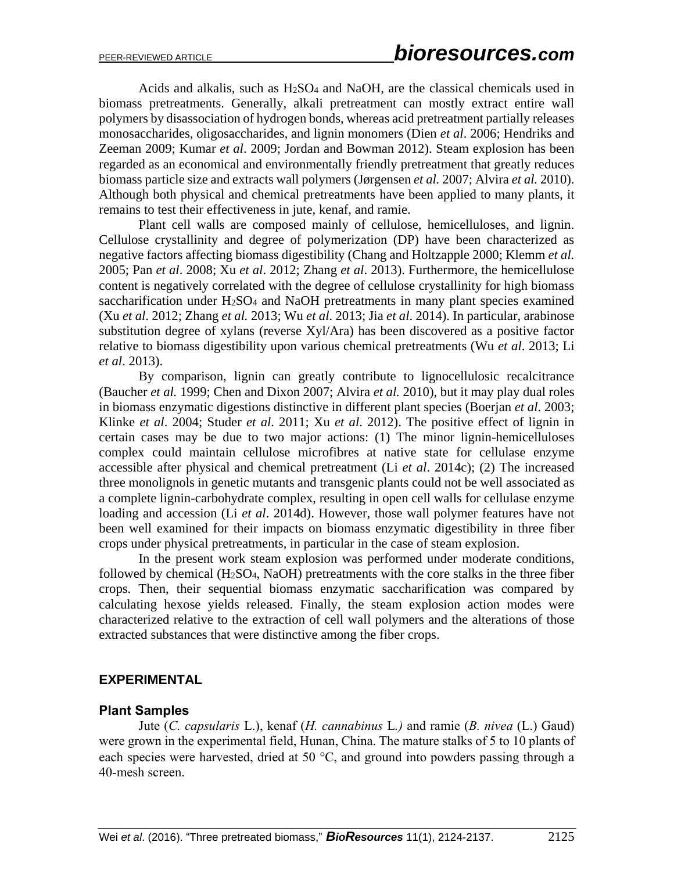Acids and alkalis, such as  $H_2SO_4$  and NaOH, are the classical chemicals used in biomass pretreatments. Generally, alkali pretreatment can mostly extract entire wall polymers by disassociation of hydrogen bonds, whereas acid pretreatment partially releases monosaccharides, oligosaccharides, and lignin monomers (Dien *et al*. 2006; Hendriks and Zeeman 2009; Kumar *et al*. 2009; Jordan and Bowman 2012). Steam explosion has been regarded as an economical and environmentally friendly pretreatment that greatly reduces biomass particle size and extracts wall polymers (Jørgensen *et al.* 2007; Alvira *et al.* 2010). Although both physical and chemical pretreatments have been applied to many plants, it remains to test their effectiveness in jute, kenaf, and ramie.

Plant cell walls are composed mainly of cellulose, hemicelluloses, and lignin. Cellulose crystallinity and degree of polymerization (DP) have been characterized as negative factors affecting biomass digestibility (Chang and Holtzapple 2000; Klemm *et al.* 2005; Pan *et al*. 2008; Xu *et al*. 2012; Zhang *et al*. 2013). Furthermore, the hemicellulose content is negatively correlated with the degree of cellulose crystallinity for high biomass saccharification under H<sub>2</sub>SO<sub>4</sub> and NaOH pretreatments in many plant species examined (Xu *et al*. 2012; Zhang *et al.* 2013; Wu *et al*. 2013; Jia *et al*. 2014). In particular, arabinose substitution degree of xylans (reverse Xyl/Ara) has been discovered as a positive factor relative to biomass digestibility upon various chemical pretreatments (Wu *et al*. 2013; Li *et al*. 2013).

By comparison, lignin can greatly contribute to lignocellulosic recalcitrance (Baucher *et al.* 1999; Chen and Dixon 2007; Alvira *et al.* 2010), but it may play dual roles in biomass enzymatic digestions distinctive in different plant species (Boerjan *et al*. 2003; Klinke *et al*. 2004; Studer *et al*. 2011; Xu *et al*. 2012). The positive effect of lignin in certain cases may be due to two major actions: (1) The minor lignin-hemicelluloses complex could maintain cellulose microfibres at native state for cellulase enzyme accessible after physical and chemical pretreatment (Li *et al*. 2014c); (2) The increased three monolignols in genetic mutants and transgenic plants could not be well associated as a complete lignin-carbohydrate complex, resulting in open cell walls for cellulase enzyme loading and accession (Li *et al*. 2014d). However, those wall polymer features have not been well examined for their impacts on biomass enzymatic digestibility in three fiber crops under physical pretreatments, in particular in the case of steam explosion.

In the present work steam explosion was performed under moderate conditions, followed by chemical (H2SO4, NaOH) pretreatments with the core stalks in the three fiber crops. Then, their sequential biomass enzymatic saccharification was compared by calculating hexose yields released. Finally, the steam explosion action modes were characterized relative to the extraction of cell wall polymers and the alterations of those extracted substances that were distinctive among the fiber crops.

#### **EXPERIMENTAL**

#### **Plant Samples**

Jute (*C. capsularis* L.), kenaf (*H. cannabinus* L*.)* and ramie (*B. nivea* (L.) Gaud) were grown in the experimental field, Hunan, China. The mature stalks of 5 to 10 plants of each species were harvested, dried at 50  $^{\circ}$ C, and ground into powders passing through a 40-mesh screen.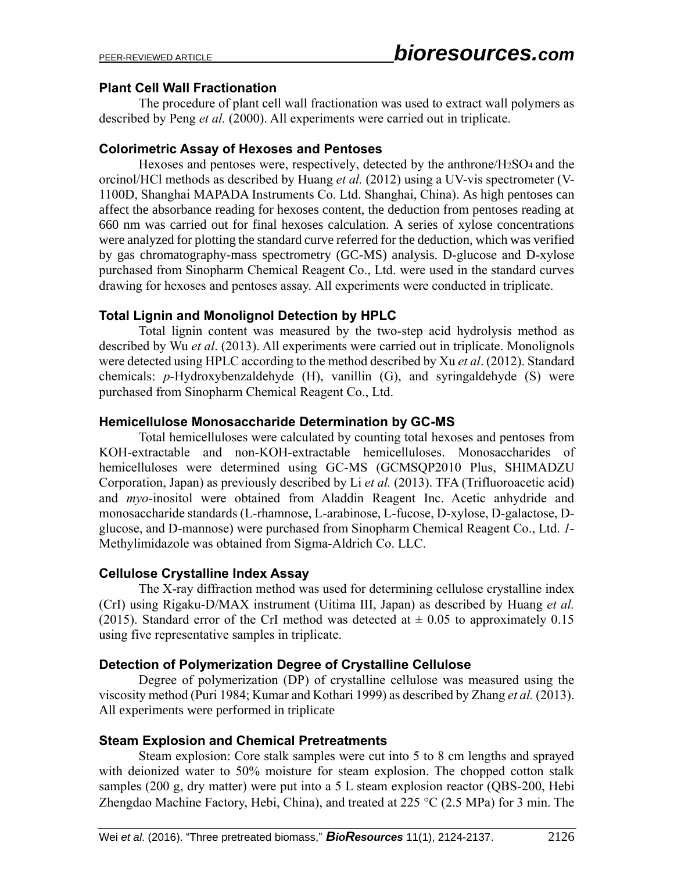## **Plant Cell Wall Fractionation**

The procedure of plant cell wall fractionation was used to extract wall polymers as described by Peng *et al.* (2000). All experiments were carried out in triplicate.

## **Colorimetric Assay of Hexoses and Pentoses**

Hexoses and pentoses were, respectively, detected by the anthrone/ $H<sub>2</sub>SO<sub>4</sub>$  and the orcinol/HCl methods as described by Huang *et al.* (2012) using a UV-vis spectrometer (V-1100D, Shanghai MAPADA Instruments Co. Ltd. Shanghai, China). As high pentoses can affect the absorbance reading for hexoses content, the deduction from pentoses reading at 660 nm was carried out for final hexoses calculation. A series of xylose concentrations were analyzed for plotting the standard curve referred for the deduction, which was verified by gas chromatography-mass spectrometry (GC-MS) analysis. D-glucose and D-xylose purchased from Sinopharm Chemical Reagent Co., Ltd. were used in the standard curves drawing for hexoses and pentoses assay. All experiments were conducted in triplicate.

## **Total Lignin and Monolignol Detection by HPLC**

Total lignin content was measured by the two-step acid hydrolysis method as described by Wu *et al*. (2013). All experiments were carried out in triplicate. Monolignols were detected using HPLC according to the method described by Xu *et al*. (2012). Standard chemicals: *p*-Hydroxybenzaldehyde (H), vanillin (G), and syringaldehyde (S) were purchased from Sinopharm Chemical Reagent Co., Ltd.

## **Hemicellulose Monosaccharide Determination by GC-MS**

Total hemicelluloses were calculated by counting total hexoses and pentoses from KOH-extractable and non-KOH-extractable hemicelluloses. Monosaccharides of hemicelluloses were determined using GC-MS (GCMSQP2010 Plus, SHIMADZU Corporation, Japan) as previously described by Li *et al.* (2013). TFA (Trifluoroacetic acid) and *myo*-inositol were obtained from Aladdin Reagent Inc. Acetic anhydride and monosaccharide standards (L-rhamnose, L-arabinose, L-fucose, D-xylose, D-galactose, Dglucose, and D-mannose) were purchased from Sinopharm Chemical Reagent Co., Ltd. *1*- Methylimidazole was obtained from Sigma-Aldrich Co. LLC.

## **Cellulose Crystalline Index Assay**

The X-ray diffraction method was used for determining cellulose crystalline index (CrI) using Rigaku-D/MAX instrument (Uitima III, Japan) as described by Huang *et al.* (2015). Standard error of the CrI method was detected at  $\pm$  0.05 to approximately 0.15 using five representative samples in triplicate.

## **Detection of Polymerization Degree of Crystalline Cellulose**

Degree of polymerization (DP) of crystalline cellulose was measured using the viscosity method (Puri 1984; Kumar and Kothari 1999) as described by Zhang *et al.* (2013). All experiments were performed in triplicate

## **Steam Explosion and Chemical Pretreatments**

Steam explosion: Core stalk samples were cut into 5 to 8 cm lengths and sprayed with deionized water to 50% moisture for steam explosion. The chopped cotton stalk samples (200 g, dry matter) were put into a 5 L steam explosion reactor (QBS-200, Hebi Zhengdao Machine Factory, Hebi, China), and treated at  $225 \text{ °C}$  (2.5 MPa) for 3 min. The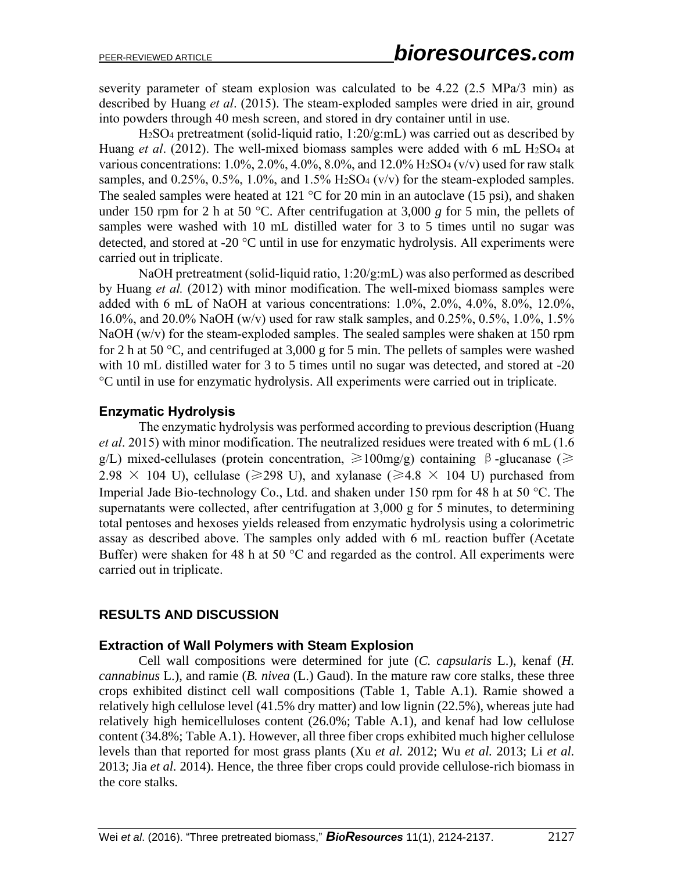severity parameter of steam explosion was calculated to be 4.22 (2.5 MPa/3 min) as described by Huang *et al*. (2015). The steam-exploded samples were dried in air, ground into powders through 40 mesh screen, and stored in dry container until in use.

H2SO<sup>4</sup> pretreatment (solid-liquid ratio, 1:20/g:mL) was carried out as described by Huang *et al.* (2012). The well-mixed biomass samples were added with 6 mL H<sub>2</sub>SO<sub>4</sub> at various concentrations: 1.0%, 2.0%, 4.0%, 8.0%, and 12.0%  $H_2SO_4$  (v/v) used for raw stalk samples, and  $0.25\%$ ,  $0.5\%$ ,  $1.0\%$ , and  $1.5\%$  H<sub>2</sub>SO<sub>4</sub> (v/v) for the steam-exploded samples. The sealed samples were heated at 121  $\degree$ C for 20 min in an autoclave (15 psi), and shaken under 150 rpm for 2 h at 50 °C. After centrifugation at 3,000  $g$  for 5 min, the pellets of samples were washed with 10 mL distilled water for 3 to 5 times until no sugar was detected, and stored at -20  $^{\circ}$ C until in use for enzymatic hydrolysis. All experiments were carried out in triplicate.

NaOH pretreatment (solid-liquid ratio, 1:20/g:mL) was also performed as described by Huang *et al.* (2012) with minor modification. The well-mixed biomass samples were added with 6 mL of NaOH at various concentrations: 1.0%, 2.0%, 4.0%, 8.0%, 12.0%, 16.0%, and 20.0% NaOH (w/v) used for raw stalk samples, and 0.25%, 0.5%, 1.0%, 1.5% NaOH (w/v) for the steam-exploded samples. The sealed samples were shaken at 150 rpm for 2 h at 50 °C, and centrifuged at 3,000 g for 5 min. The pellets of samples were washed with 10 mL distilled water for 3 to 5 times until no sugar was detected, and stored at -20 C until in use for enzymatic hydrolysis. All experiments were carried out in triplicate.

### **Enzymatic Hydrolysis**

The enzymatic hydrolysis was performed according to previous description (Huang *et al*. 2015) with minor modification. The neutralized residues were treated with 6 mL (1.6 g/L) mixed-cellulases (protein concentration,  $\geq 100$ mg/g) containing β-glucanase ( $\geq$ 2.98  $\times$  104 U), cellulase ( $\geq$ 298 U), and xylanase ( $\geq$ 4.8  $\times$  104 U) purchased from Imperial Jade Bio-technology Co., Ltd. and shaken under 150 rpm for 48 h at 50  $^{\circ}$ C. The supernatants were collected, after centrifugation at 3,000 g for 5 minutes, to determining total pentoses and hexoses yields released from enzymatic hydrolysis using a colorimetric assay as described above. The samples only added with 6 mL reaction buffer (Acetate Buffer) were shaken for 48 h at 50  $^{\circ}$ C and regarded as the control. All experiments were carried out in triplicate.

#### **RESULTS AND DISCUSSION**

#### **Extraction of Wall Polymers with Steam Explosion**

Cell wall compositions were determined for jute (*C. capsularis* L.), kenaf (*H. cannabinus* L.), and ramie (*B. nivea* (L.) Gaud). In the mature raw core stalks, these three crops exhibited distinct cell wall compositions (Table 1, Table A.1). Ramie showed a relatively high cellulose level (41.5% dry matter) and low lignin (22.5%), whereas jute had relatively high hemicelluloses content (26.0%; Table A.1), and kenaf had low cellulose content (34.8%; Table A.1). However, all three fiber crops exhibited much higher cellulose levels than that reported for most grass plants (Xu *et al.* 2012; Wu *et al.* 2013; Li *et al.* 2013; Jia *et al.* 2014). Hence, the three fiber crops could provide cellulose-rich biomass in the core stalks.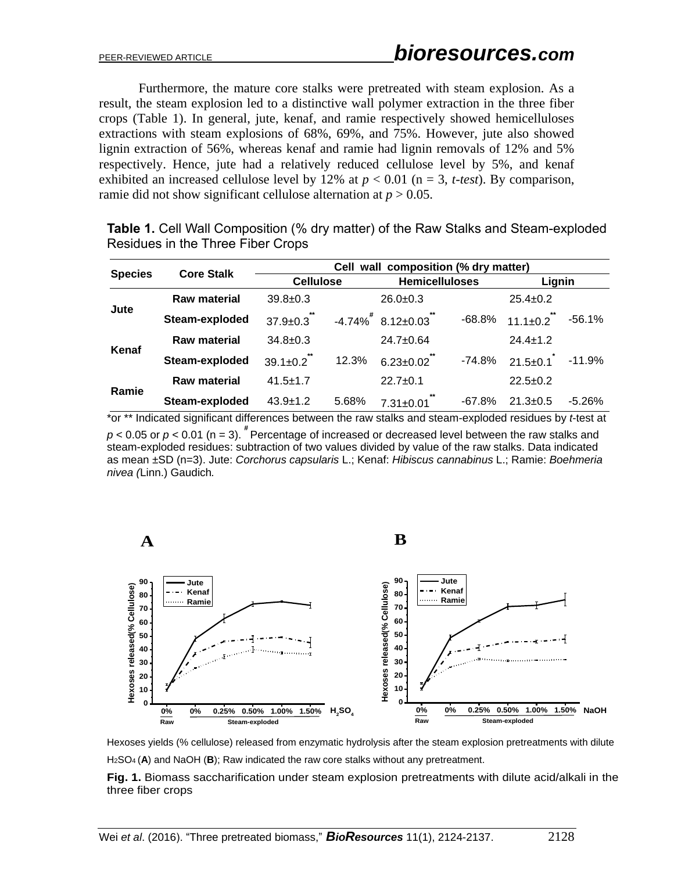Furthermore, the mature core stalks were pretreated with steam explosion. As a result, the steam explosion led to a distinctive wall polymer extraction in the three fiber crops (Table 1). In general, jute, kenaf, and ramie respectively showed hemicelluloses extractions with steam explosions of 68%, 69%, and 75%. However, jute also showed lignin extraction of 56%, whereas kenaf and ramie had lignin removals of 12% and 5% respectively. Hence, jute had a relatively reduced cellulose level by 5%, and kenaf exhibited an increased cellulose level by 12% at  $p < 0.01$  (n = 3, *t-test*). By comparison, ramie did not show significant cellulose alternation at  $p > 0.05$ .

|                | <b>Core Stalk</b>   | Cell wall composition (% dry matter) |       |                         |          |                |          |  |
|----------------|---------------------|--------------------------------------|-------|-------------------------|----------|----------------|----------|--|
| <b>Species</b> |                     | <b>Cellulose</b>                     |       | <b>Hemicelluloses</b>   |          | Lignin         |          |  |
| Jute           | <b>Raw material</b> | $39.8 \pm 0.3$                       |       | $26.0+0.3$              |          | $25.4 \pm 0.2$ |          |  |
|                | Steam-exploded      | **<br>$37.9 \pm 0.3$                 |       | $-4.74\%$ $8.12\pm0.03$ | $-68.8%$ | $11.1 \pm 0.2$ | $-56.1%$ |  |
| Kenaf          | <b>Raw material</b> | $34.8 \pm 0.3$                       |       | 24.7±0.64               |          | $24.4 \pm 1.2$ |          |  |
|                | Steam-exploded      | $39.1 \pm 0.2$                       | 12.3% | $6.23 \pm 0.02$         | $-74.8%$ | $21.5 \pm 0.1$ | $-11.9%$ |  |
| Ramie          | <b>Raw material</b> | $41.5 \pm 1.7$                       |       | $22.7 \pm 0.1$          |          | $22.5+0.2$     |          |  |
|                | Steam-exploded      | $43.9 \pm 1.2$                       | 5.68% | $7.31 \pm 0.01$         | $-67.8%$ | $21.3 \pm 0.5$ | $-5.26%$ |  |

**Table 1.** Cell Wall Composition (% dry matter) of the Raw Stalks and Steam-exploded Residues in the Three Fiber Crops

\*or \*\* Indicated significant differences between the raw stalks and steam-exploded residues by *t*-test at  $p$  < 0.05 or  $p$  < 0.01 (n = 3). <sup> $#$ </sup> Percentage of increased or decreased level between the raw stalks and steam-exploded residues: subtraction of two values divided by value of the raw stalks. Data indicated as mean ±SD (n=3). Jute: *Corchorus capsularis* L.; Kenaf: *Hibiscus cannabinus* L.; Ramie: *Boehmeria nivea (*Linn.) Gaudich*.*



Hexoses yields (% cellulose) released from enzymatic hydrolysis after the steam explosion pretreatments with dilute H2SO<sup>4</sup> (**A**) and NaOH (**B**); Raw indicated the raw core stalks without any pretreatment.

**Fig. 1.** Biomass saccharification under steam explosion pretreatments with dilute acid/alkali in the three fiber crops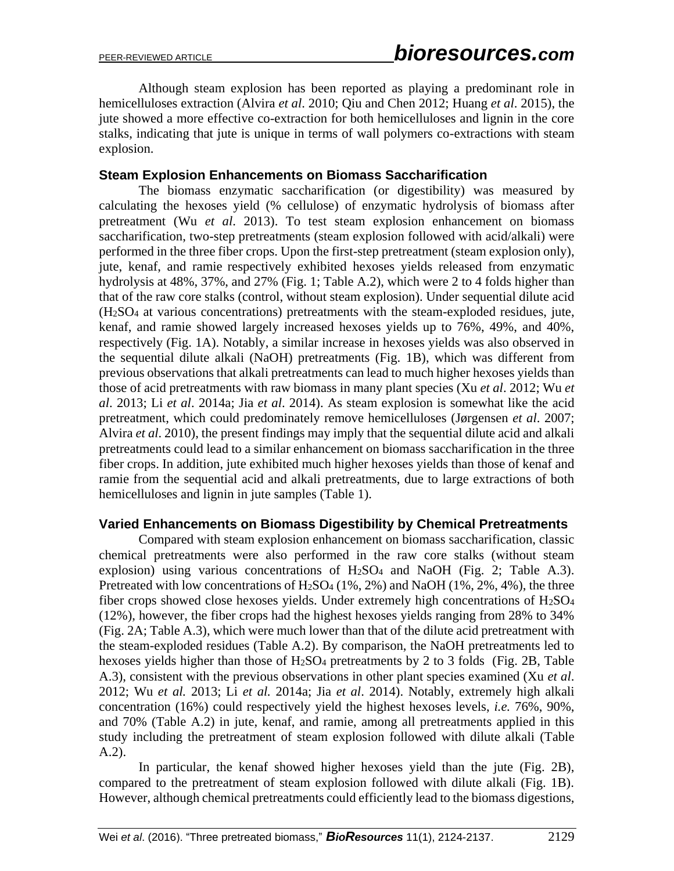Although steam explosion has been reported as playing a predominant role in hemicelluloses extraction (Alvira *et al*. 2010; Qiu and Chen 2012; Huang *et al*. 2015), the jute showed a more effective co-extraction for both hemicelluloses and lignin in the core stalks, indicating that jute is unique in terms of wall polymers co-extractions with steam explosion.

#### **Steam Explosion Enhancements on Biomass Saccharification**

The biomass enzymatic saccharification (or digestibility) was measured by calculating the hexoses yield (% cellulose) of enzymatic hydrolysis of biomass after pretreatment (Wu *et al*. 2013). To test steam explosion enhancement on biomass saccharification, two-step pretreatments (steam explosion followed with acid/alkali) were performed in the three fiber crops. Upon the first-step pretreatment (steam explosion only), jute, kenaf, and ramie respectively exhibited hexoses yields released from enzymatic hydrolysis at 48%, 37%, and 27% (Fig. 1; Table A.2), which were 2 to 4 folds higher than that of the raw core stalks (control, without steam explosion). Under sequential dilute acid (H2SO<sup>4</sup> at various concentrations) pretreatments with the steam-exploded residues, jute, kenaf, and ramie showed largely increased hexoses yields up to 76%, 49%, and 40%, respectively (Fig. 1A). Notably, a similar increase in hexoses yields was also observed in the sequential dilute alkali (NaOH) pretreatments (Fig. 1B), which was different from previous observations that alkali pretreatments can lead to much higher hexoses yields than those of acid pretreatments with raw biomass in many plant species (Xu *et al*. 2012; Wu *et al*. 2013; Li *et al*. 2014a; Jia *et al*. 2014). As steam explosion is somewhat like the acid pretreatment, which could predominately remove hemicelluloses (Jørgensen *et al*. 2007; Alvira *et al*. 2010), the present findings may imply that the sequential dilute acid and alkali pretreatments could lead to a similar enhancement on biomass saccharification in the three fiber crops. In addition, jute exhibited much higher hexoses yields than those of kenaf and ramie from the sequential acid and alkali pretreatments, due to large extractions of both hemicelluloses and lignin in jute samples (Table 1).

#### **Varied Enhancements on Biomass Digestibility by Chemical Pretreatments**

Compared with steam explosion enhancement on biomass saccharification, classic chemical pretreatments were also performed in the raw core stalks (without steam explosion) using various concentrations of  $H<sub>2</sub>SO<sub>4</sub>$  and NaOH (Fig. 2; Table A.3). Pretreated with low concentrations of  $H_2SO_4$  (1%, 2%) and NaOH (1%, 2%, 4%), the three fiber crops showed close hexoses yields. Under extremely high concentrations of H2SO<sup>4</sup> (12%), however, the fiber crops had the highest hexoses yields ranging from 28% to 34% (Fig. 2A; Table A.3), which were much lower than that of the dilute acid pretreatment with the steam-exploded residues (Table A.2). By comparison, the NaOH pretreatments led to hexoses yields higher than those of H<sub>2</sub>SO<sub>4</sub> pretreatments by 2 to 3 folds (Fig. 2B, Table A.3), consistent with the previous observations in other plant species examined (Xu *et al*. 2012; Wu *et al.* 2013; Li *et al.* 2014a; Jia *et al*. 2014). Notably, extremely high alkali concentration (16%) could respectively yield the highest hexoses levels, *i.e.* 76%, 90%, and 70% (Table A.2) in jute, kenaf, and ramie, among all pretreatments applied in this study including the pretreatment of steam explosion followed with dilute alkali (Table A.2).

In particular, the kenaf showed higher hexoses yield than the jute (Fig. 2B), compared to the pretreatment of steam explosion followed with dilute alkali (Fig. 1B). However, although chemical pretreatments could efficiently lead to the biomass digestions,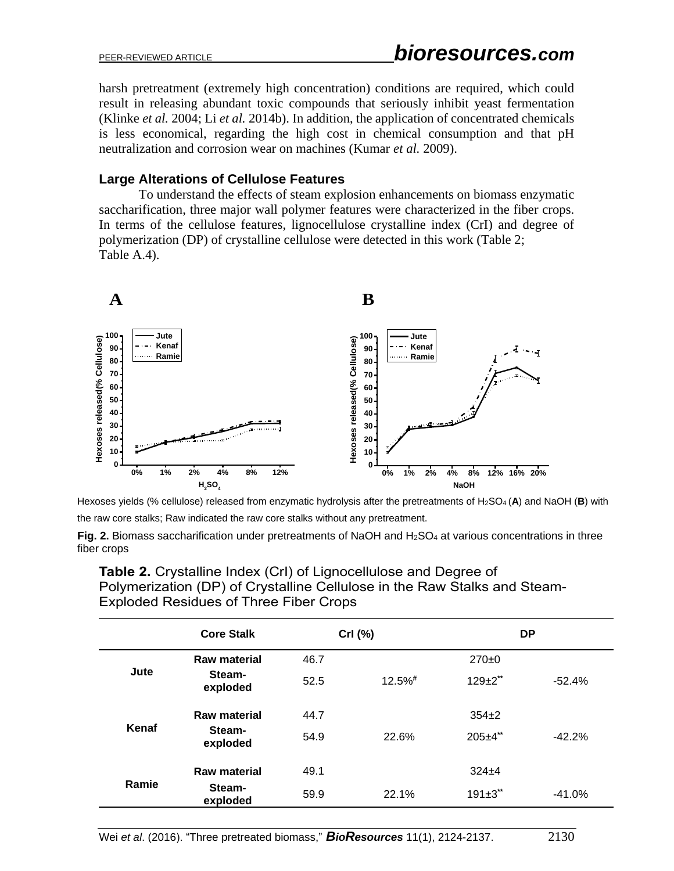harsh pretreatment (extremely high concentration) conditions are required, which could result in releasing abundant toxic compounds that seriously inhibit yeast fermentation (Klinke *et al.* 2004; Li *et al.* 2014b). In addition, the application of concentrated chemicals is less economical, regarding the high cost in chemical consumption and that pH neutralization and corrosion wear on machines (Kumar *et al.* 2009).

## **Large Alterations of Cellulose Features**

To understand the effects of steam explosion enhancements on biomass enzymatic saccharification, three major wall polymer features were characterized in the fiber crops. In terms of the cellulose features, lignocellulose crystalline index (CrI) and degree of polymerization (DP) of crystalline cellulose were detected in this work (Table 2; Table A.4).



Hexoses yields (% cellulose) released from enzymatic hydrolysis after the pretreatments of H2SO<sup>4</sup> (**A**) and NaOH (**B**) with the raw core stalks; Raw indicated the raw core stalks without any pretreatment.

|       | <b>Core Stalk</b>   |      | Crl (%)    | <b>DP</b>        |          |
|-------|---------------------|------|------------|------------------|----------|
| Jute  | <b>Raw material</b> | 46.7 |            | $270+0$          |          |
|       | Steam-<br>exploded  | 52.5 | $12.5\%$ # | $129 \pm 2^{**}$ | $-52.4%$ |
| Kenaf | <b>Raw material</b> | 44.7 |            | $354+2$          |          |
|       | Steam-<br>exploded  | 54.9 | 22.6%      | $205 + 4$ **     | $-42.2%$ |
| Ramie | <b>Raw material</b> | 49.1 |            | $324 + 4$        |          |
|       | Steam-<br>exploded  | 59.9 | 22.1%      | $191 \pm 3$ **   | $-41.0%$ |

**Table 2.** Crystalline Index (CrI) of Lignocellulose and Degree of Polymerization (DP) of Crystalline Cellulose in the Raw Stalks and Steam-Exploded Residues of Three Fiber Crops

**Fig. 2.** Biomass saccharification under pretreatments of NaOH and H<sub>2</sub>SO<sub>4</sub> at various concentrations in three fiber crops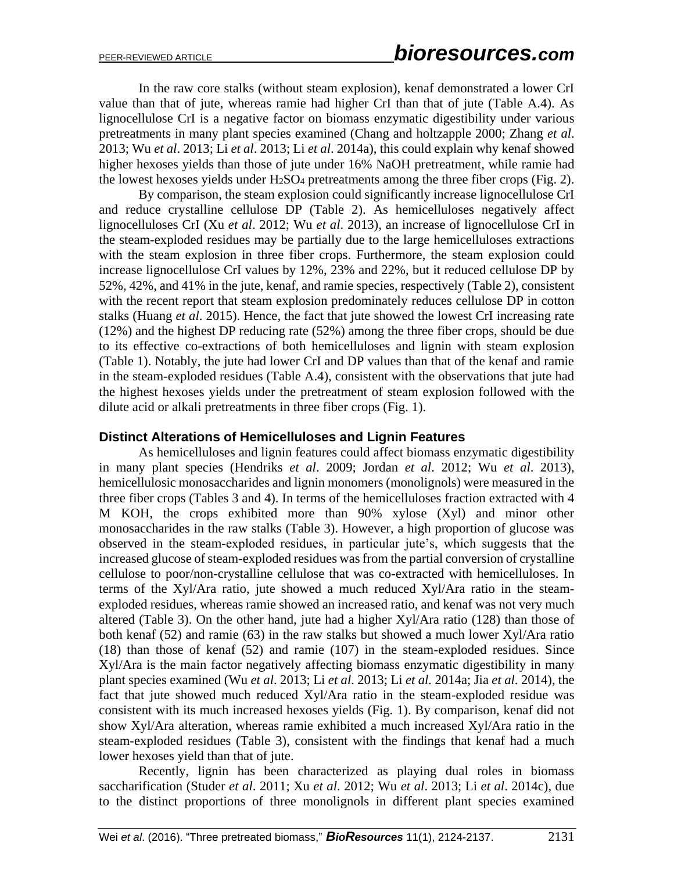In the raw core stalks (without steam explosion), kenaf demonstrated a lower CrI value than that of jute, whereas ramie had higher CrI than that of jute (Table A.4). As lignocellulose CrI is a negative factor on biomass enzymatic digestibility under various pretreatments in many plant species examined (Chang and holtzapple 2000; Zhang *et al*. 2013; Wu *et al*. 2013; Li *et al*. 2013; Li *et al*. 2014a), this could explain why kenaf showed higher hexoses yields than those of jute under 16% NaOH pretreatment, while ramie had the lowest hexoses yields under  $H_2SO_4$  pretreatments among the three fiber crops (Fig. 2).

By comparison, the steam explosion could significantly increase lignocellulose CrI and reduce crystalline cellulose DP (Table 2). As hemicelluloses negatively affect lignocelluloses CrI (Xu *et al*. 2012; Wu *et al*. 2013), an increase of lignocellulose CrI in the steam-exploded residues may be partially due to the large hemicelluloses extractions with the steam explosion in three fiber crops. Furthermore, the steam explosion could increase lignocellulose CrI values by 12%, 23% and 22%, but it reduced cellulose DP by 52%, 42%, and 41% in the jute, kenaf, and ramie species, respectively (Table 2), consistent with the recent report that steam explosion predominately reduces cellulose DP in cotton stalks (Huang *et al*. 2015). Hence, the fact that jute showed the lowest CrI increasing rate (12%) and the highest DP reducing rate (52%) among the three fiber crops, should be due to its effective co-extractions of both hemicelluloses and lignin with steam explosion (Table 1). Notably, the jute had lower CrI and DP values than that of the kenaf and ramie in the steam-exploded residues (Table A.4), consistent with the observations that jute had the highest hexoses yields under the pretreatment of steam explosion followed with the dilute acid or alkali pretreatments in three fiber crops (Fig. 1).

#### **Distinct Alterations of Hemicelluloses and Lignin Features**

As hemicelluloses and lignin features could affect biomass enzymatic digestibility in many plant species (Hendriks *et al*. 2009; Jordan *et al*. 2012; Wu *et al*. 2013), hemicellulosic monosaccharides and lignin monomers (monolignols) were measured in the three fiber crops (Tables 3 and 4). In terms of the hemicelluloses fraction extracted with 4 M KOH, the crops exhibited more than 90% xylose (Xyl) and minor other monosaccharides in the raw stalks (Table 3). However, a high proportion of glucose was observed in the steam-exploded residues, in particular jute's, which suggests that the increased glucose of steam-exploded residues was from the partial conversion of crystalline cellulose to poor/non-crystalline cellulose that was co-extracted with hemicelluloses. In terms of the Xyl/Ara ratio, jute showed a much reduced Xyl/Ara ratio in the steamexploded residues, whereas ramie showed an increased ratio, and kenaf was not very much altered (Table 3). On the other hand, jute had a higher Xyl/Ara ratio (128) than those of both kenaf (52) and ramie (63) in the raw stalks but showed a much lower Xyl/Ara ratio (18) than those of kenaf (52) and ramie (107) in the steam-exploded residues. Since Xyl/Ara is the main factor negatively affecting biomass enzymatic digestibility in many plant species examined (Wu *et al*. 2013; Li *et al*. 2013; Li *et al.* 2014a; Jia *et al*. 2014), the fact that jute showed much reduced Xyl/Ara ratio in the steam-exploded residue was consistent with its much increased hexoses yields (Fig. 1). By comparison, kenaf did not show Xyl/Ara alteration, whereas ramie exhibited a much increased Xyl/Ara ratio in the steam-exploded residues (Table 3), consistent with the findings that kenaf had a much lower hexoses yield than that of jute.

Recently, lignin has been characterized as playing dual roles in biomass saccharification (Studer *et al*. 2011; Xu *et al*. 2012; Wu *et al*. 2013; Li *et al*. 2014c), due to the distinct proportions of three monolignols in different plant species examined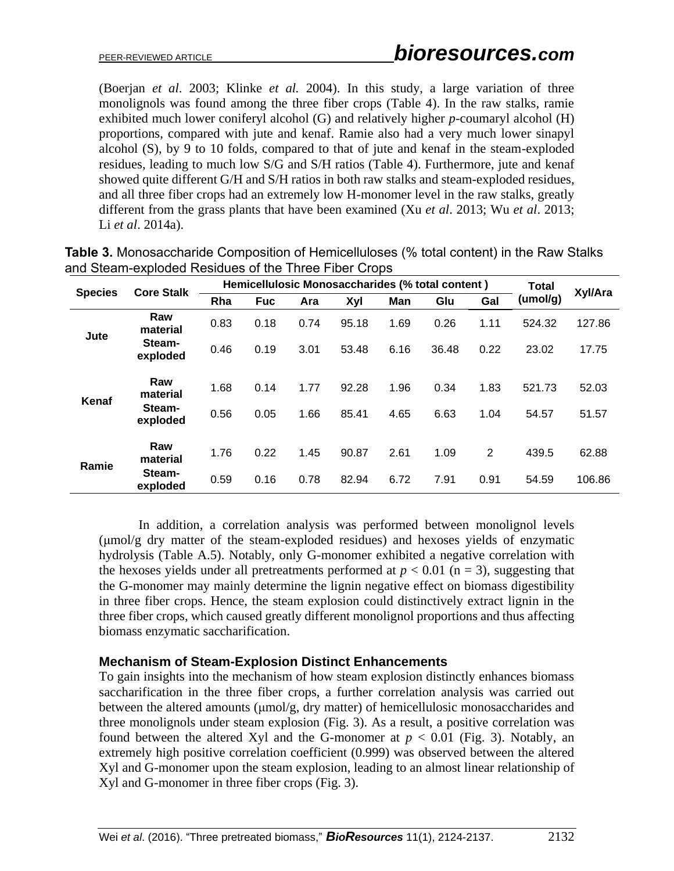(Boerjan *et al*. 2003; Klinke *et al.* 2004). In this study, a large variation of three monolignols was found among the three fiber crops (Table 4). In the raw stalks, ramie exhibited much lower coniferyl alcohol (G) and relatively higher *p*-coumaryl alcohol (H) proportions, compared with jute and kenaf. Ramie also had a very much lower sinapyl alcohol (S), by 9 to 10 folds, compared to that of jute and kenaf in the steam-exploded residues, leading to much low S/G and S/H ratios (Table 4). Furthermore, jute and kenaf showed quite different G/H and S/H ratios in both raw stalks and steam-exploded residues, and all three fiber crops had an extremely low H-monomer level in the raw stalks, greatly different from the grass plants that have been examined (Xu *et al*. 2013; Wu *et al*. 2013; Li *et al*. 2014a).

| <b>Species</b> | <b>Core Stalk</b>  | Hemicellulosic Monosaccharides (% total content) |            |      |       |      |       | <b>Total</b> | Xyl/Ara  |        |
|----------------|--------------------|--------------------------------------------------|------------|------|-------|------|-------|--------------|----------|--------|
|                |                    | Rha                                              | <b>Fuc</b> | Ara  | Xyl   | Man  | Glu   | Gal          | (umol/g) |        |
| Jute           | Raw<br>material    | 0.83                                             | 0.18       | 0.74 | 95.18 | 1.69 | 0.26  | 1.11         | 524.32   | 127.86 |
|                | Steam-<br>exploded | 0.46                                             | 0.19       | 3.01 | 53.48 | 6.16 | 36.48 | 0.22         | 23.02    | 17.75  |
| Kenaf          | Raw<br>material    | 1.68                                             | 0.14       | 1.77 | 92.28 | 1.96 | 0.34  | 1.83         | 521.73   | 52.03  |
|                | Steam-<br>exploded | 0.56                                             | 0.05       | 1.66 | 85.41 | 4.65 | 6.63  | 1.04         | 54.57    | 51.57  |
| Ramie          | Raw<br>material    | 1.76                                             | 0.22       | 1.45 | 90.87 | 2.61 | 1.09  | 2            | 439.5    | 62.88  |
|                | Steam-<br>exploded | 0.59                                             | 0.16       | 0.78 | 82.94 | 6.72 | 7.91  | 0.91         | 54.59    | 106.86 |

**Table 3.** Monosaccharide Composition of Hemicelluloses (% total content) in the Raw Stalks and Steam-exploded Residues of the Three Fiber Crops

In addition, a correlation analysis was performed between monolignol levels (μmol/g dry matter of the steam-exploded residues) and hexoses yields of enzymatic hydrolysis (Table A.5). Notably, only G-monomer exhibited a negative correlation with the hexoses yields under all pretreatments performed at  $p < 0.01$  (n = 3), suggesting that the G-monomer may mainly determine the lignin negative effect on biomass digestibility in three fiber crops. Hence, the steam explosion could distinctively extract lignin in the three fiber crops, which caused greatly different monolignol proportions and thus affecting biomass enzymatic saccharification.

#### **Mechanism of Steam-Explosion Distinct Enhancements**

To gain insights into the mechanism of how steam explosion distinctly enhances biomass saccharification in the three fiber crops, a further correlation analysis was carried out between the altered amounts (μmol/g, dry matter) of hemicellulosic monosaccharides and three monolignols under steam explosion (Fig. 3). As a result, a positive correlation was found between the altered Xyl and the G-monomer at  $p < 0.01$  (Fig. 3). Notably, an extremely high positive correlation coefficient (0.999) was observed between the altered Xyl and G-monomer upon the steam explosion, leading to an almost linear relationship of Xyl and G-monomer in three fiber crops (Fig. 3).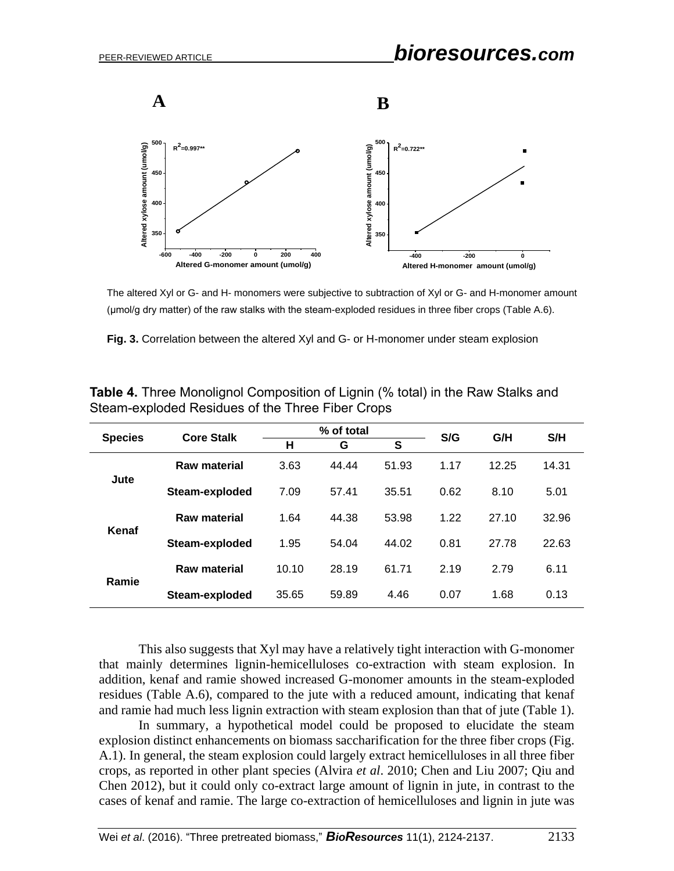

The altered Xyl or G- and H- monomers were subjective to subtraction of Xyl or G- and H-monomer amount (μmol/g dry matter) of the raw stalks with the steam-exploded residues in three fiber crops (Table A.6).

**Fig. 3.** Correlation between the altered Xyl and G- or H-monomer under steam explosion

|                | <b>Core Stalk</b> |       | % of total |       |      | G/H   | S/H   |  |
|----------------|-------------------|-------|------------|-------|------|-------|-------|--|
| <b>Species</b> |                   | н     | S<br>G     |       | S/G  |       |       |  |
|                | Raw material      | 3.63  | 44.44      | 51.93 | 1.17 | 12.25 | 14.31 |  |
| Jute           | Steam-exploded    | 7.09  | 57.41      | 35.51 | 0.62 | 8.10  | 5.01  |  |
|                | Raw material      | 1.64  | 44.38      | 53.98 | 1.22 | 27.10 | 32.96 |  |
| Kenaf          | Steam-exploded    | 1.95  | 54.04      | 44.02 | 0.81 | 27.78 | 22.63 |  |
| Ramie          | Raw material      | 10.10 | 28.19      | 61.71 | 2.19 | 2.79  | 6.11  |  |
|                | Steam-exploded    | 35.65 | 59.89      | 4.46  | 0.07 | 1.68  | 0.13  |  |

|  | <b>Table 4.</b> Three Monolignol Composition of Lignin (% total) in the Raw Stalks and |  |
|--|----------------------------------------------------------------------------------------|--|
|  | Steam-exploded Residues of the Three Fiber Crops                                       |  |

This also suggests that Xyl may have a relatively tight interaction with G-monomer that mainly determines lignin-hemicelluloses co-extraction with steam explosion. In addition, kenaf and ramie showed increased G-monomer amounts in the steam-exploded residues (Table A.6), compared to the jute with a reduced amount, indicating that kenaf and ramie had much less lignin extraction with steam explosion than that of jute (Table 1).

In summary, a hypothetical model could be proposed to elucidate the steam explosion distinct enhancements on biomass saccharification for the three fiber crops (Fig. A.1). In general, the steam explosion could largely extract hemicelluloses in all three fiber crops, as reported in other plant species (Alvira *et al*. 2010; Chen and Liu 2007; Qiu and Chen 2012), but it could only co-extract large amount of lignin in jute, in contrast to the cases of kenaf and ramie. The large co-extraction of hemicelluloses and lignin in jute was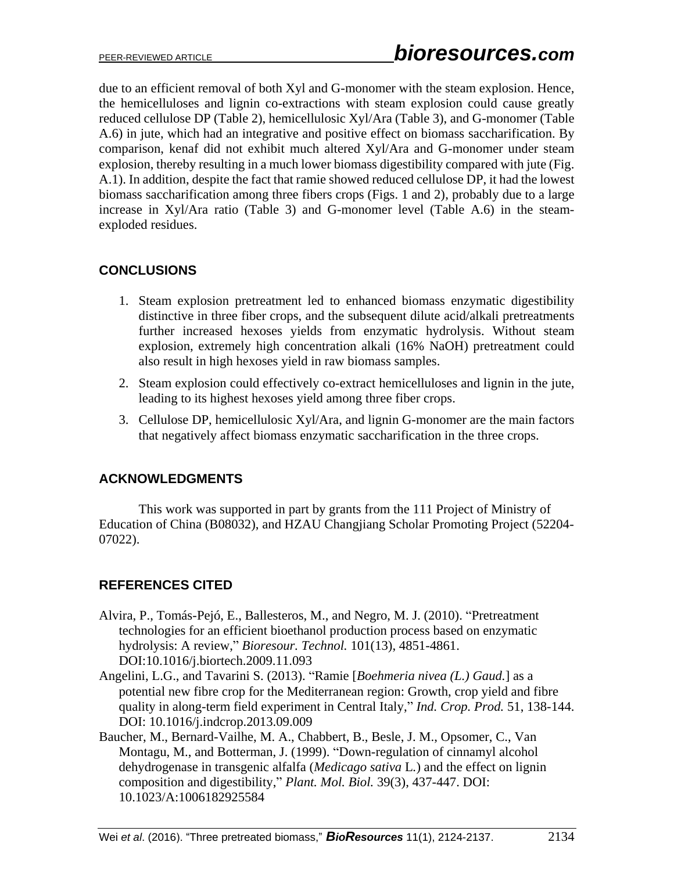due to an efficient removal of both Xyl and G-monomer with the steam explosion. Hence, the hemicelluloses and lignin co-extractions with steam explosion could cause greatly reduced cellulose DP (Table 2), hemicellulosic Xyl/Ara (Table 3), and G-monomer (Table A.6) in jute, which had an integrative and positive effect on biomass saccharification. By comparison, kenaf did not exhibit much altered Xyl/Ara and G-monomer under steam explosion, thereby resulting in a much lower biomass digestibility compared with jute (Fig. A.1). In addition, despite the fact that ramie showed reduced cellulose DP, it had the lowest biomass saccharification among three fibers crops (Figs. 1 and 2), probably due to a large increase in Xyl/Ara ratio (Table 3) and G-monomer level (Table A.6) in the steamexploded residues.

## **CONCLUSIONS**

- 1. Steam explosion pretreatment led to enhanced biomass enzymatic digestibility distinctive in three fiber crops, and the subsequent dilute acid/alkali pretreatments further increased hexoses yields from enzymatic hydrolysis. Without steam explosion, extremely high concentration alkali (16% NaOH) pretreatment could also result in high hexoses yield in raw biomass samples.
- 2. Steam explosion could effectively co-extract hemicelluloses and lignin in the jute, leading to its highest hexoses yield among three fiber crops.
- 3. Cellulose DP, hemicellulosic Xyl/Ara, and lignin G-monomer are the main factors that negatively affect biomass enzymatic saccharification in the three crops.

## **ACKNOWLEDGMENTS**

This work was supported in part by grants from the 111 Project of Ministry of Education of China (B08032), and HZAU Changjiang Scholar Promoting Project (52204- 07022).

## **REFERENCES CITED**

- Alvira, P., Tomás-Pejó, E., Ballesteros, M., and Negro, M. J. (2010). "Pretreatment technologies for an efficient bioethanol production process based on enzymatic hydrolysis: A review," *Bioresour. Technol.* 101(13), 4851-4861. DOI:10.1016/j.biortech.2009.11.093
- Angelini, L.G., and Tavarini S. (2013). "Ramie [*Boehmeria nivea (L.) Gaud.*] as a potential new fibre crop for the Mediterranean region: Growth, crop yield and fibre quality in along-term field experiment in Central Italy," *Ind. Crop. Prod.* 51, 138-144. DOI: 10.1016/j.indcrop.2013.09.009
- Baucher, M., Bernard-Vailhe, M. A., Chabbert, B., Besle, J. M., Opsomer, C., Van Montagu, M., and Botterman, J. (1999). "Down-regulation of cinnamyl alcohol dehydrogenase in transgenic alfalfa (*Medicago sativa* L*.*) and the effect on lignin composition and digestibility," *Plant. Mol. Biol.* 39(3), 437-447. DOI: 10.1023/A:1006182925584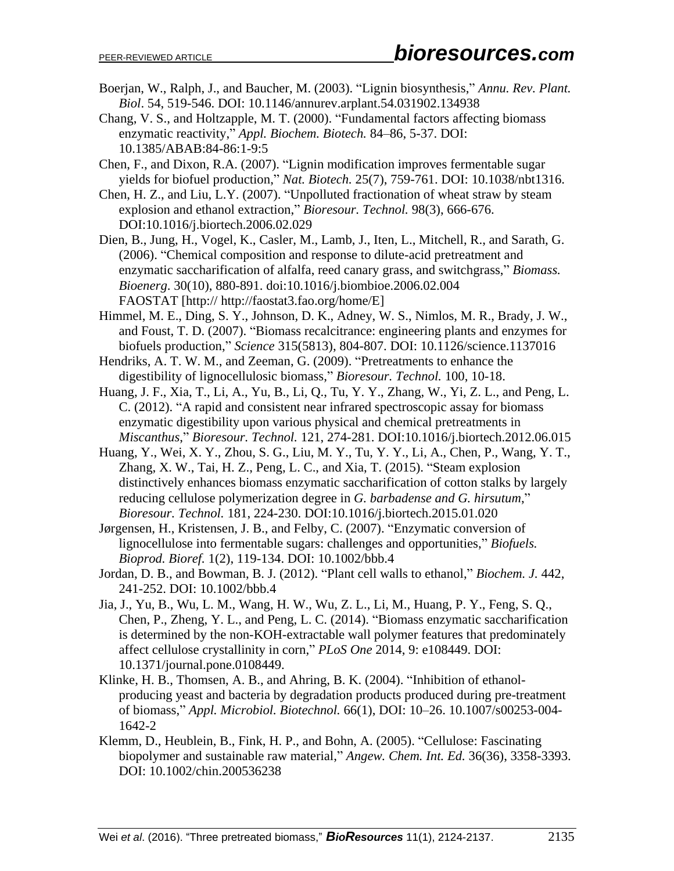- Boerjan, W., Ralph, J., and Baucher, M. (2003). "Lignin biosynthesis," *Annu. Rev. Plant. Biol*. 54, 519-546. DOI: 10.1146/annurev.arplant.54.031902.134938
- Chang, V. S., and Holtzapple, M. T. (2000). "Fundamental factors affecting biomass enzymatic reactivity," *Appl. Biochem. Biotech.* 84–86, 5-37. DOI: 10.1385/ABAB:84-86:1-9:5
- Chen, F., and Dixon, R.A. (2007). "Lignin modification improves fermentable sugar yields for biofuel production," *Nat. Biotech.* 25(7), 759-761. DOI: 10.1038/nbt1316.
- Chen, H. Z., and Liu, L.Y. (2007). "Unpolluted fractionation of wheat straw by steam explosion and ethanol extraction," *Bioresour. Technol.* 98(3), 666-676. DOI:10.1016/j.biortech.2006.02.029
- Dien, B., Jung, H., Vogel, K., Casler, M., Lamb, J., Iten, L., Mitchell, R., and Sarath, G. (2006). "Chemical composition and response to dilute-acid pretreatment and enzymatic saccharification of alfalfa, reed canary grass, and switchgrass," *Biomass. Bioenerg*. 30(10), 880-891. doi:10.1016/j.biombioe.2006.02.004 FAOSTAT [http:// http://faostat3.fao.org/home/E]
- Himmel, M. E., Ding, S. Y., Johnson, D. K., Adney, W. S., Nimlos, M. R., Brady, J. W., and Foust, T. D. (2007). "Biomass recalcitrance: engineering plants and enzymes for biofuels production," *Science* 315(5813), 804-807. DOI: 10.1126/science.1137016
- Hendriks, A. T. W. M., and Zeeman, G. (2009). "Pretreatments to enhance the digestibility of lignocellulosic biomass," *Bioresour. Technol.* 100, 10-18.
- Huang, J. F., Xia, T., Li, A., Yu, B., Li, Q., Tu, Y. Y., Zhang, W., Yi, Z. L., and Peng, L. C. (2012). "A rapid and consistent near infrared spectroscopic assay for biomass enzymatic digestibility upon various physical and chemical pretreatments in *Miscanthus*," *Bioresour. Technol.* 121, 274-281. DOI:10.1016/j.biortech.2012.06.015
- Huang, Y., Wei, X. Y., Zhou, S. G., Liu, M. Y., Tu, Y. Y., Li, A., Chen, P., Wang, Y. T., Zhang, X. W., Tai, H. Z., Peng, L. C., and Xia, T. (2015). "Steam explosion distinctively enhances biomass enzymatic saccharification of cotton stalks by largely reducing cellulose polymerization degree in *G. barbadense and G. hirsutum*," *Bioresour. Technol.* 181, 224-230. DOI:10.1016/j.biortech.2015.01.020
- Jørgensen, H., Kristensen, J. B., and Felby, C. (2007). "Enzymatic conversion of lignocellulose into fermentable sugars: challenges and opportunities," *Biofuels. Bioprod. Bioref.* 1(2), 119-134. DOI: 10.1002/bbb.4
- Jordan, D. B., and Bowman, B. J. (2012). "Plant cell walls to ethanol," *Biochem. J.* 442, 241-252. DOI: 10.1002/bbb.4
- Jia, J., Yu, B., Wu, L. M., Wang, H. W., Wu, Z. L., Li, M., Huang, P. Y., Feng, S. Q., Chen, P., Zheng, Y. L., and Peng, L. C. (2014). "Biomass enzymatic saccharification is determined by the non-KOH-extractable wall polymer features that predominately affect cellulose crystallinity in corn," *PLoS One* 2014, 9: e108449. DOI: 10.1371/journal.pone.0108449.
- Klinke, H. B., Thomsen, A. B., and Ahring, B. K. (2004). "Inhibition of ethanolproducing yeast and bacteria by degradation products produced during pre-treatment of biomass," *Appl. Microbiol. Biotechnol.* 66(1), DOI: 10–26. 10.1007/s00253-004- 1642-2
- Klemm, D., Heublein, B., Fink, H. P., and Bohn, A. (2005). "Cellulose: Fascinating biopolymer and sustainable raw material," *Angew. Chem. Int. Ed.* 36(36), 3358-3393. DOI: 10.1002/chin.200536238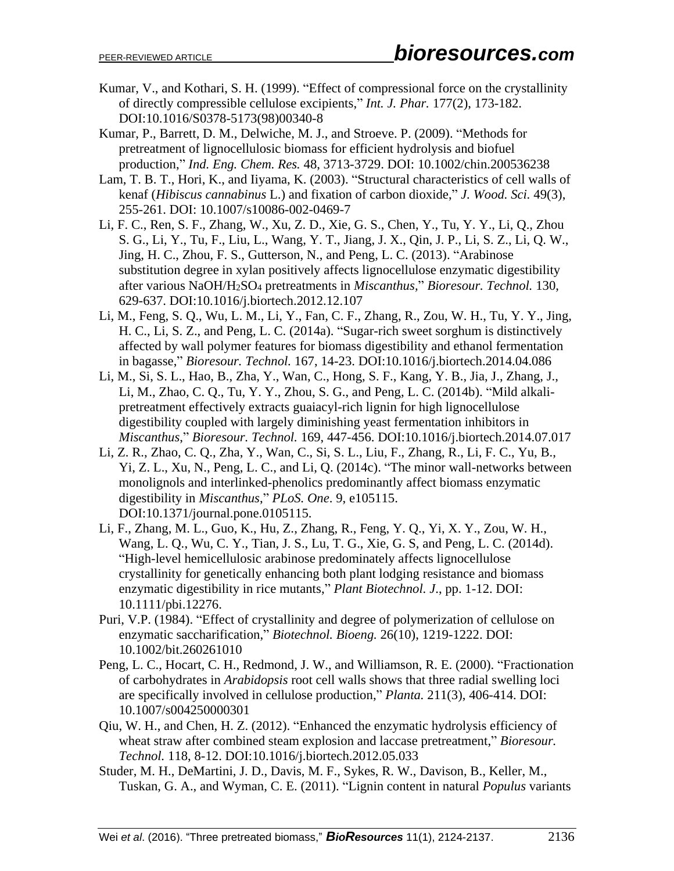- Kumar, V., and Kothari, S. H. (1999). "Effect of compressional force on the crystallinity of directly compressible cellulose excipients," *Int. J. Phar.* 177(2), 173-182. DOI:10.1016/S0378-5173(98)00340-8
- Kumar, P., Barrett, D. M., Delwiche, M. J., and Stroeve. P. (2009). "Methods for pretreatment of lignocellulosic biomass for efficient hydrolysis and biofuel production," *Ind. Eng. Chem. Res.* 48, 3713-3729. DOI: 10.1002/chin.200536238
- Lam, T. B. T., Hori, K., and Iiyama, K. (2003). "Structural characteristics of cell walls of kenaf (*Hibiscus cannabinus* L.) and fixation of carbon dioxide," *J. Wood. Sci.* 49(3), 255-261. DOI: 10.1007/s10086-002-0469-7
- Li, F. C., Ren, S. F., Zhang, W., Xu, Z. D., Xie, G. S., Chen, Y., Tu, Y. Y., Li, Q., Zhou S. G., Li, Y., Tu, F., Liu, L., Wang, Y. T., Jiang, J. X., Qin, J. P., Li, S. Z., Li, Q. W., Jing, H. C., Zhou, F. S., Gutterson, N., and Peng, L. C. (2013). "Arabinose substitution degree in xylan positively affects lignocellulose enzymatic digestibility after various NaOH/H2SO<sup>4</sup> pretreatments in *Miscanthus,*" *Bioresour. Technol.* 130, 629-637. DOI:10.1016/j.biortech.2012.12.107
- Li, M., Feng, S. Q., Wu, L. M., Li, Y., Fan, C. F., Zhang, R., Zou, W. H., Tu, Y. Y., Jing, H. C., Li, S. Z., and Peng, L. C. (2014a). "Sugar-rich sweet sorghum is distinctively affected by wall polymer features for biomass digestibility and ethanol fermentation in bagasse," *Bioresour. Technol.* 167, 14-23. DOI:10.1016/j.biortech.2014.04.086
- Li, M., Si, S. L., Hao, B., Zha, Y., Wan, C., Hong, S. F., Kang, Y. B., Jia, J., Zhang, J., Li, M., Zhao, C. Q., Tu, Y. Y., Zhou, S. G., and Peng, L. C. (2014b). "Mild alkalipretreatment effectively extracts guaiacyl-rich lignin for high lignocellulose digestibility coupled with largely diminishing yeast fermentation inhibitors in *Miscanthus*," *Bioresour. Technol.* 169, 447-456. DOI:10.1016/j.biortech.2014.07.017
- Li, Z. R., Zhao, C. Q., Zha, Y., Wan, C., Si, S. L., Liu, F., Zhang, R., Li, F. C., Yu, B., Yi, Z. L., Xu, N., Peng, L. C., and Li, Q. (2014c). "The minor wall-networks between monolignols and interlinked-phenolics predominantly affect biomass enzymatic digestibility in *Miscanthus*," *PLoS. One*. 9, e105115. DOI:10.1371/journal.pone.0105115.
- Li, F., Zhang, M. L., Guo, K., Hu, Z., Zhang, R., Feng, Y. Q., Yi, X. Y., Zou, W. H., Wang, L. Q., Wu, C. Y., Tian, J. S., Lu, T. G., Xie, G. S, and Peng, L. C. (2014d). "High-level hemicellulosic arabinose predominately affects lignocellulose crystallinity for genetically enhancing both plant lodging resistance and biomass enzymatic digestibility in rice mutants," *Plant Biotechnol. J*., pp. 1-12. DOI: 10.1111/pbi.12276.
- Puri, V.P. (1984). "Effect of crystallinity and degree of polymerization of cellulose on enzymatic saccharification," *Biotechnol. Bioeng.* 26(10), 1219-1222. DOI: 10.1002/bit.260261010
- Peng, L. C., Hocart, C. H., Redmond, J. W., and Williamson, R. E. (2000). "Fractionation of carbohydrates in *Arabidopsis* root cell walls shows that three radial swelling loci are specifically involved in cellulose production," *Planta.* 211(3), 406-414. DOI: 10.1007/s004250000301
- Qiu, W. H., and Chen, H. Z. (2012). "Enhanced the enzymatic hydrolysis efficiency of wheat straw after combined steam explosion and laccase pretreatment," *Bioresour*. *Technol.* 118, 8-12. DOI:10.1016/j.biortech.2012.05.033
- Studer, M. H., DeMartini, J. D., Davis, M. F., Sykes, R. W., Davison, B., Keller, M., Tuskan, G. A., and Wyman, C. E. (2011). "Lignin content in natural *Populus* variants